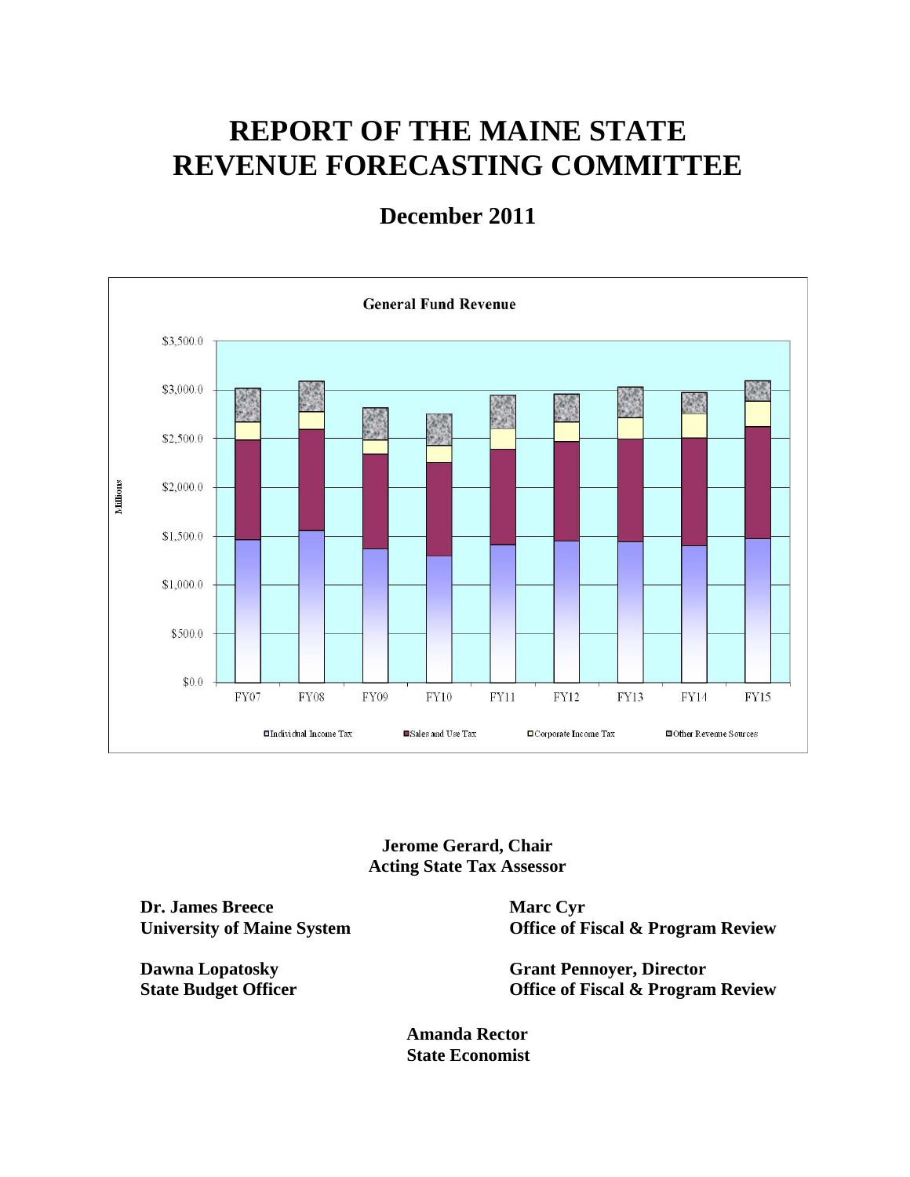# **REPORT OF THE MAINE STATE REVENUE FORECASTING COMMITTEE**

## **December 2011**



**Jerome Gerard, Chair Acting State Tax Assessor** 

**Dr. James Breece University of Maine System** 

**Dawna Lopatosky State Budget Officer**  **Marc Cyr Office of Fiscal & Program Review** 

**Grant Pennoyer, Director Office of Fiscal & Program Review** 

**Amanda Rector State Economist**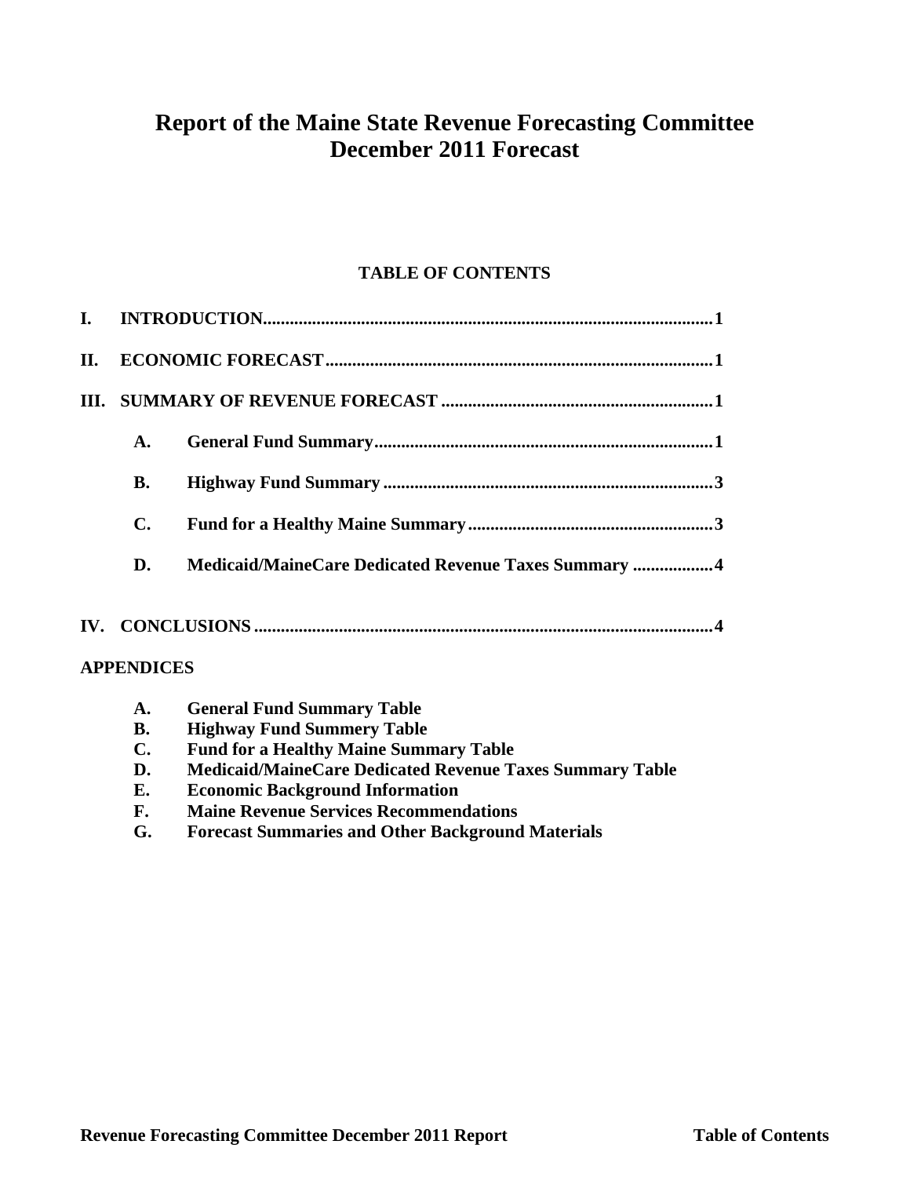## **Report of the Maine State Revenue Forecasting Committee December 2011 Forecast**

### **TABLE OF CONTENTS**

| I. |                                         |                                                                 |  |  |  |  |  |
|----|-----------------------------------------|-----------------------------------------------------------------|--|--|--|--|--|
| П. |                                         |                                                                 |  |  |  |  |  |
| Ш. |                                         |                                                                 |  |  |  |  |  |
|    | $\mathbf{A}$ .                          |                                                                 |  |  |  |  |  |
|    | <b>B.</b>                               |                                                                 |  |  |  |  |  |
|    | $\mathbf{C}$ .                          |                                                                 |  |  |  |  |  |
|    | D.                                      | Medicaid/MaineCare Dedicated Revenue Taxes Summary 4            |  |  |  |  |  |
|    |                                         |                                                                 |  |  |  |  |  |
|    | <b>APPENDICES</b>                       |                                                                 |  |  |  |  |  |
|    | A.                                      | <b>General Fund Summary Table</b>                               |  |  |  |  |  |
|    | <b>Highway Fund Summery Table</b><br>В. |                                                                 |  |  |  |  |  |
|    | $\mathbf{C}$ .                          | <b>Fund for a Healthy Maine Summary Table</b>                   |  |  |  |  |  |
|    | D.                                      | <b>Medicaid/MaineCare Dedicated Revenue Taxes Summary Table</b> |  |  |  |  |  |

- **E. Economic Background Information**
- **F. Maine Revenue Services Recommendations**
- **G. Forecast Summaries and Other Background Materials**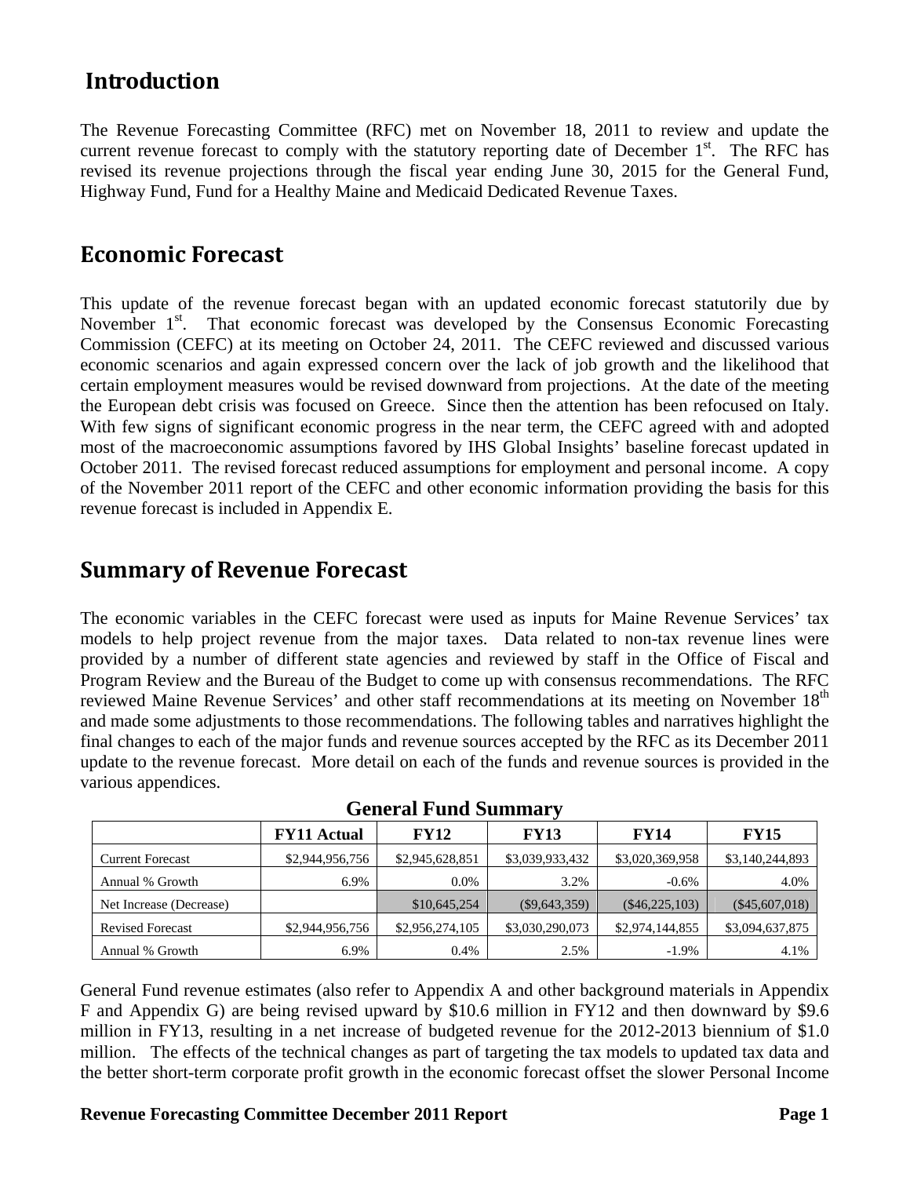### **Introduction**

The Revenue Forecasting Committee (RFC) met on November 18, 2011 to review and update the current revenue forecast to comply with the statutory reporting date of December 1<sup>st</sup>. The RFC has revised its revenue projections through the fiscal year ending June 30, 2015 for the General Fund, Highway Fund, Fund for a Healthy Maine and Medicaid Dedicated Revenue Taxes.

### **Economic Forecast**

This update of the revenue forecast began with an updated economic forecast statutorily due by November  $1<sup>st</sup>$ . That economic forecast was developed by the Consensus Economic Forecasting Commission (CEFC) at its meeting on October 24, 2011. The CEFC reviewed and discussed various economic scenarios and again expressed concern over the lack of job growth and the likelihood that certain employment measures would be revised downward from projections. At the date of the meeting the European debt crisis was focused on Greece. Since then the attention has been refocused on Italy. With few signs of significant economic progress in the near term, the CEFC agreed with and adopted most of the macroeconomic assumptions favored by IHS Global Insights' baseline forecast updated in October 2011. The revised forecast reduced assumptions for employment and personal income. A copy of the November 2011 report of the CEFC and other economic information providing the basis for this revenue forecast is included in Appendix E.

### **Summary of Revenue Forecast**

The economic variables in the CEFC forecast were used as inputs for Maine Revenue Services' tax models to help project revenue from the major taxes. Data related to non-tax revenue lines were provided by a number of different state agencies and reviewed by staff in the Office of Fiscal and Program Review and the Bureau of the Budget to come up with consensus recommendations. The RFC reviewed Maine Revenue Services' and other staff recommendations at its meeting on November 18<sup>th</sup> and made some adjustments to those recommendations. The following tables and narratives highlight the final changes to each of the major funds and revenue sources accepted by the RFC as its December 2011 update to the revenue forecast. More detail on each of the funds and revenue sources is provided in the various appendices.

|                         | <b>FY11 Actual</b> | <b>FY12</b>     | <b>FY13</b>     | FY14             | <b>FY15</b>      |
|-------------------------|--------------------|-----------------|-----------------|------------------|------------------|
| <b>Current Forecast</b> | \$2,944,956,756    | \$2,945,628,851 | \$3,039,933,432 | \$3,020,369,958  | \$3,140,244,893  |
| Annual % Growth         | 6.9%               | $0.0\%$         | 3.2%            | $-0.6\%$         | 4.0%             |
| Net Increase (Decrease) |                    | \$10,645,254    | $(\$9,643,359)$ | $(\$46,225,103)$ | $(\$45,607,018)$ |
| <b>Revised Forecast</b> | \$2,944,956,756    | \$2,956,274,105 | \$3,030,290,073 | \$2,974,144,855  | \$3,094,637,875  |
| Annual % Growth         | 6.9%               | 0.4%            | 2.5%            | $-1.9\%$         | 4.1%             |

**General Fund Summary** 

General Fund revenue estimates (also refer to Appendix A and other background materials in Appendix F and Appendix G) are being revised upward by \$10.6 million in FY12 and then downward by \$9.6 million in FY13, resulting in a net increase of budgeted revenue for the 2012-2013 biennium of \$1.0 million. The effects of the technical changes as part of targeting the tax models to updated tax data and the better short-term corporate profit growth in the economic forecast offset the slower Personal Income

#### **Revenue Forecasting Committee December 2011 Report Page 1 2012 1 2 | Page 1 | Page 1 | Page 1**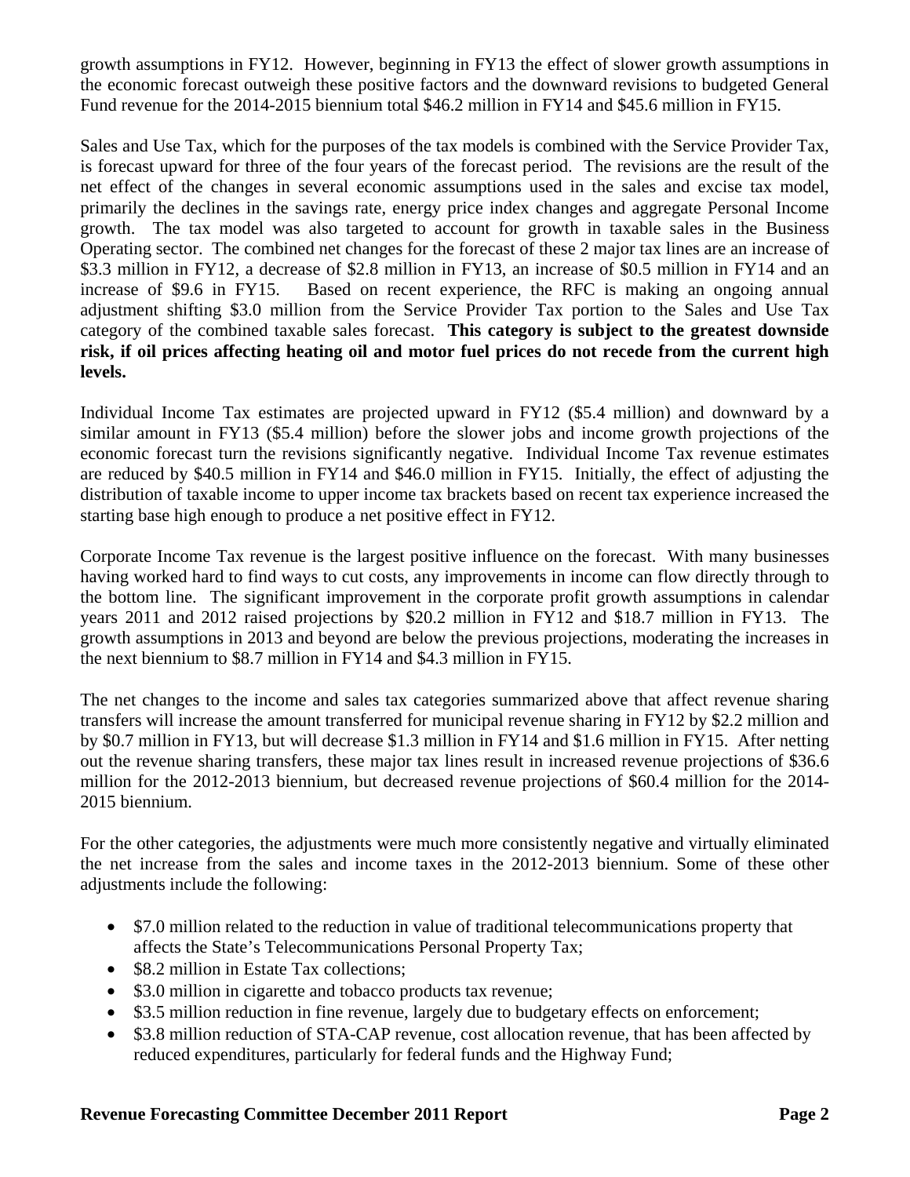growth assumptions in FY12. However, beginning in FY13 the effect of slower growth assumptions in the economic forecast outweigh these positive factors and the downward revisions to budgeted General Fund revenue for the 2014-2015 biennium total \$46.2 million in FY14 and \$45.6 million in FY15.

Sales and Use Tax, which for the purposes of the tax models is combined with the Service Provider Tax, is forecast upward for three of the four years of the forecast period. The revisions are the result of the net effect of the changes in several economic assumptions used in the sales and excise tax model, primarily the declines in the savings rate, energy price index changes and aggregate Personal Income growth. The tax model was also targeted to account for growth in taxable sales in the Business Operating sector. The combined net changes for the forecast of these 2 major tax lines are an increase of \$3.3 million in FY12, a decrease of \$2.8 million in FY13, an increase of \$0.5 million in FY14 and an increase of \$9.6 in FY15. Based on recent experience, the RFC is making an ongoing annual adjustment shifting \$3.0 million from the Service Provider Tax portion to the Sales and Use Tax category of the combined taxable sales forecast. **This category is subject to the greatest downside risk, if oil prices affecting heating oil and motor fuel prices do not recede from the current high levels.**

Individual Income Tax estimates are projected upward in FY12 (\$5.4 million) and downward by a similar amount in FY13 (\$5.4 million) before the slower jobs and income growth projections of the economic forecast turn the revisions significantly negative. Individual Income Tax revenue estimates are reduced by \$40.5 million in FY14 and \$46.0 million in FY15. Initially, the effect of adjusting the distribution of taxable income to upper income tax brackets based on recent tax experience increased the starting base high enough to produce a net positive effect in FY12.

Corporate Income Tax revenue is the largest positive influence on the forecast. With many businesses having worked hard to find ways to cut costs, any improvements in income can flow directly through to the bottom line. The significant improvement in the corporate profit growth assumptions in calendar years 2011 and 2012 raised projections by \$20.2 million in FY12 and \$18.7 million in FY13. The growth assumptions in 2013 and beyond are below the previous projections, moderating the increases in the next biennium to \$8.7 million in FY14 and \$4.3 million in FY15.

The net changes to the income and sales tax categories summarized above that affect revenue sharing transfers will increase the amount transferred for municipal revenue sharing in FY12 by \$2.2 million and by \$0.7 million in FY13, but will decrease \$1.3 million in FY14 and \$1.6 million in FY15. After netting out the revenue sharing transfers, these major tax lines result in increased revenue projections of \$36.6 million for the 2012-2013 biennium, but decreased revenue projections of \$60.4 million for the 2014- 2015 biennium.

For the other categories, the adjustments were much more consistently negative and virtually eliminated the net increase from the sales and income taxes in the 2012-2013 biennium. Some of these other adjustments include the following:

- \$7.0 million related to the reduction in value of traditional telecommunications property that affects the State's Telecommunications Personal Property Tax;
- \$8.2 million in Estate Tax collections;
- \$3.0 million in cigarette and tobacco products tax revenue;
- \$3.5 million reduction in fine revenue, largely due to budgetary effects on enforcement;
- \$3.8 million reduction of STA-CAP revenue, cost allocation revenue, that has been affected by reduced expenditures, particularly for federal funds and the Highway Fund;

#### **Revenue Forecasting Committee December 2011 Report Page 2 2 Page 2**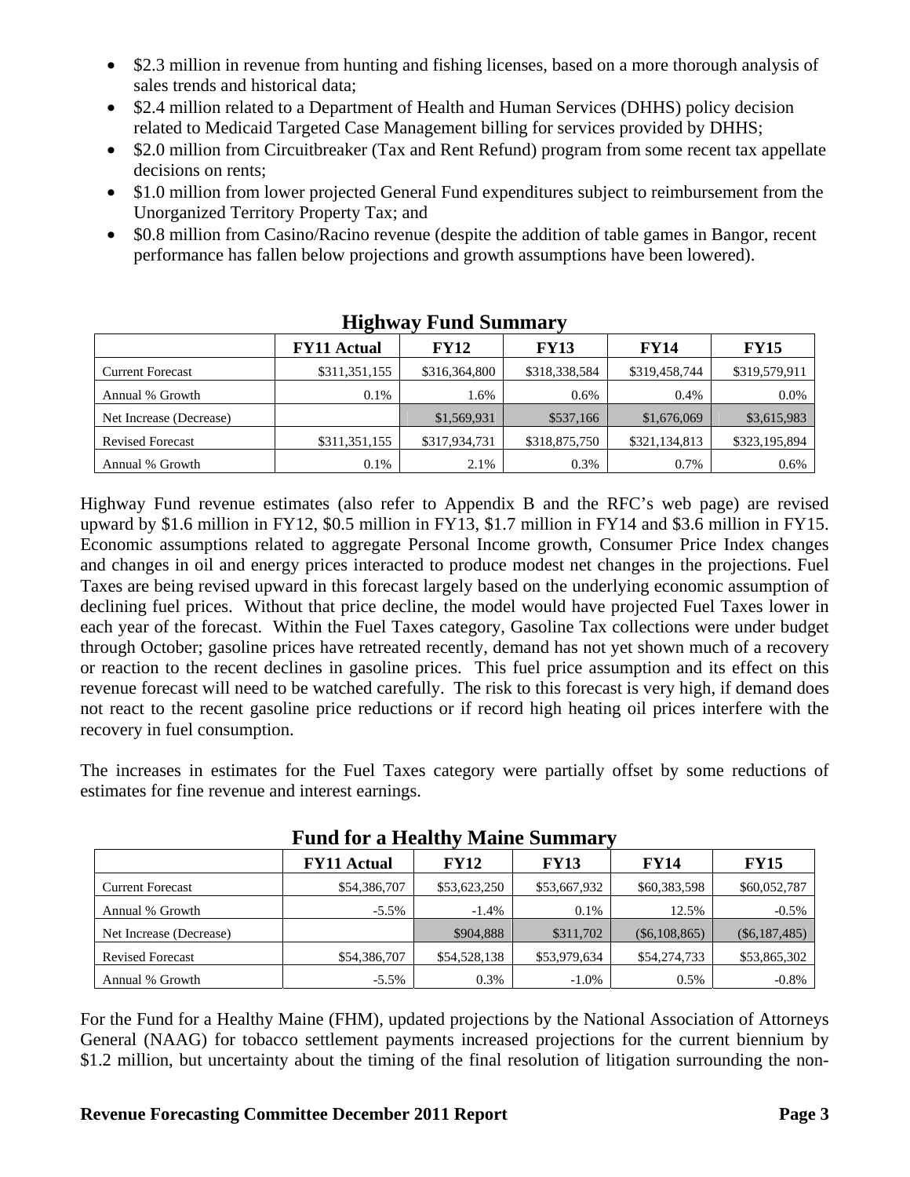- \$2.3 million in revenue from hunting and fishing licenses, based on a more thorough analysis of sales trends and historical data;
- \$2.4 million related to a Department of Health and Human Services (DHHS) policy decision related to Medicaid Targeted Case Management billing for services provided by DHHS;
- \$2.0 million from Circuitbreaker (Tax and Rent Refund) program from some recent tax appellate decisions on rents;
- \$1.0 million from lower projected General Fund expenditures subject to reimbursement from the Unorganized Territory Property Tax; and
- \$0.8 million from Casino/Racino revenue (despite the addition of table games in Bangor, recent performance has fallen below projections and growth assumptions have been lowered).

| - ----- - --------      |                    |               |               |               |               |  |
|-------------------------|--------------------|---------------|---------------|---------------|---------------|--|
|                         | <b>FY11 Actual</b> | <b>FY12</b>   | <b>FY13</b>   | <b>FY14</b>   | <b>FY15</b>   |  |
| <b>Current Forecast</b> | \$311,351,155      | \$316,364,800 | \$318,338,584 | \$319,458,744 | \$319,579,911 |  |
| Annual % Growth         | 0.1%               | 1.6%          | $0.6\%$       | 0.4%          | $0.0\%$       |  |
| Net Increase (Decrease) |                    | \$1,569,931   | \$537,166     | \$1,676,069   | \$3,615,983   |  |
| <b>Revised Forecast</b> | \$311,351,155      | \$317,934,731 | \$318,875,750 | \$321,134,813 | \$323,195,894 |  |
| Annual % Growth         | 0.1%               | 2.1%          | 0.3%          | 0.7%          | 0.6%          |  |

### **Highway Fund Summary**

Highway Fund revenue estimates (also refer to Appendix B and the RFC's web page) are revised upward by \$1.6 million in FY12, \$0.5 million in FY13, \$1.7 million in FY14 and \$3.6 million in FY15. Economic assumptions related to aggregate Personal Income growth, Consumer Price Index changes and changes in oil and energy prices interacted to produce modest net changes in the projections. Fuel Taxes are being revised upward in this forecast largely based on the underlying economic assumption of declining fuel prices. Without that price decline, the model would have projected Fuel Taxes lower in each year of the forecast. Within the Fuel Taxes category, Gasoline Tax collections were under budget through October; gasoline prices have retreated recently, demand has not yet shown much of a recovery or reaction to the recent declines in gasoline prices. This fuel price assumption and its effect on this revenue forecast will need to be watched carefully. The risk to this forecast is very high, if demand does not react to the recent gasoline price reductions or if record high heating oil prices interfere with the recovery in fuel consumption.

The increases in estimates for the Fuel Taxes category were partially offset by some reductions of estimates for fine revenue and interest earnings.

|                         | www.communicat     |              |              |                 |                 |
|-------------------------|--------------------|--------------|--------------|-----------------|-----------------|
|                         | <b>FY11 Actual</b> | <b>FY12</b>  | <b>FY13</b>  | <b>FY14</b>     | <b>FY15</b>     |
| <b>Current Forecast</b> | \$54,386,707       | \$53,623,250 | \$53,667,932 | \$60,383,598    | \$60,052,787    |
| Annual % Growth         | $-5.5\%$           | $-1.4\%$     | $0.1\%$      | 12.5%           | $-0.5%$         |
| Net Increase (Decrease) |                    | \$904,888    | \$311,702    | $(\$6,108,865)$ | $(\$6,187,485)$ |
| <b>Revised Forecast</b> | \$54,386,707       | \$54,528,138 | \$53,979,634 | \$54,274,733    | \$53,865,302    |
| Annual % Growth         | $-5.5\%$           | 0.3%         | $-1.0\%$     | 0.5%            | $-0.8\%$        |

#### **Fund for a Healthy Maine Summary**

For the Fund for a Healthy Maine (FHM), updated projections by the National Association of Attorneys General (NAAG) for tobacco settlement payments increased projections for the current biennium by \$1.2 million, but uncertainty about the timing of the final resolution of litigation surrounding the non-

#### **Revenue Forecasting Committee December 2011 Report Page 3** Page 3